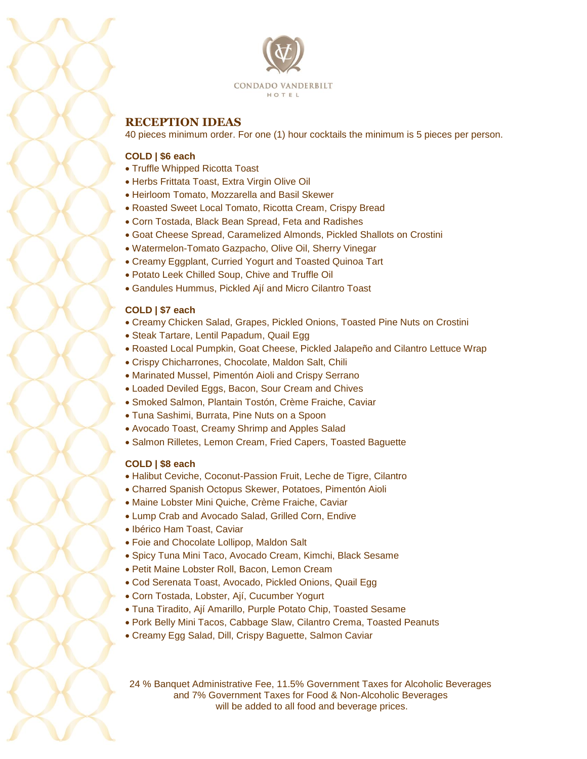



# **RECEPTION IDEAS**

40 pieces minimum order. For one (1) hour cocktails the minimum is 5 pieces per person.

# **COLD | \$6 each**

- Truffle Whipped Ricotta Toast
- Herbs Frittata Toast, Extra Virgin Olive Oil
- Heirloom Tomato, Mozzarella and Basil Skewer
- Roasted Sweet Local Tomato, Ricotta Cream, Crispy Bread
- Corn Tostada, Black Bean Spread, Feta and Radishes
- Goat Cheese Spread, Caramelized Almonds, Pickled Shallots on Crostini
- Watermelon-Tomato Gazpacho, Olive Oil, Sherry Vinegar
- Creamy Eggplant, Curried Yogurt and Toasted Quinoa Tart
- Potato Leek Chilled Soup, Chive and Truffle Oil
- Gandules Hummus, Pickled Ají and Micro Cilantro Toast

## **COLD | \$7 each**

- Creamy Chicken Salad, Grapes, Pickled Onions, Toasted Pine Nuts on Crostini
- Steak Tartare, Lentil Papadum, Quail Egg
- Roasted Local Pumpkin, Goat Cheese, Pickled Jalapeño and Cilantro Lettuce Wrap
- Crispy Chicharrones, Chocolate, Maldon Salt, Chili
- Marinated Mussel, Pimentón Aioli and Crispy Serrano
- Loaded Deviled Eggs, Bacon, Sour Cream and Chives
- Smoked Salmon, Plantain Tostón, Crème Fraiche, Caviar
- Tuna Sashimi, Burrata, Pine Nuts on a Spoon
- Avocado Toast, Creamy Shrimp and Apples Salad
- Salmon Rilletes, Lemon Cream, Fried Capers, Toasted Baguette

## **COLD | \$8 each**

- Halibut Ceviche, Coconut-Passion Fruit, Leche de Tigre, Cilantro
- Charred Spanish Octopus Skewer, Potatoes, Pimentón Aioli
- Maine Lobster Mini Quiche, Crème Fraiche, Caviar
- Lump Crab and Avocado Salad, Grilled Corn, Endive
- Ibérico Ham Toast, Caviar
- Foie and Chocolate Lollipop, Maldon Salt
- Spicy Tuna Mini Taco, Avocado Cream, Kimchi, Black Sesame
- Petit Maine Lobster Roll, Bacon, Lemon Cream
- Cod Serenata Toast, Avocado, Pickled Onions, Quail Egg
- Corn Tostada, Lobster, Ají, Cucumber Yogurt
- Tuna Tiradito, Ají Amarillo, Purple Potato Chip, Toasted Sesame
- Pork Belly Mini Tacos, Cabbage Slaw, Cilantro Crema, Toasted Peanuts
- Creamy Egg Salad, Dill, Crispy Baguette, Salmon Caviar

24 % Banquet Administrative Fee, 11.5% Government Taxes for Alcoholic Beverages and 7% Government Taxes for Food & Non-Alcoholic Beverages will be added to all food and beverage prices.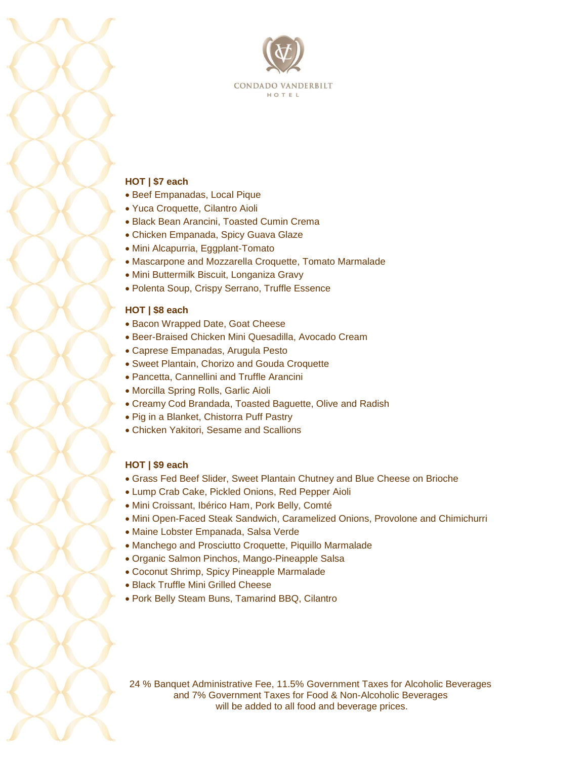

#### **HOT | \$7 each**

- Beef Empanadas, Local Pique
- Yuca Croquette, Cilantro Aioli
- Black Bean Arancini, Toasted Cumin Crema
- Chicken Empanada, Spicy Guava Glaze
- Mini Alcapurria, Eggplant-Tomato
- Mascarpone and Mozzarella Croquette, Tomato Marmalade
- Mini Buttermilk Biscuit, Longaniza Gravy
- Polenta Soup, Crispy Serrano, Truffle Essence

#### **HOT | \$8 each**

- Bacon Wrapped Date, Goat Cheese
- Beer-Braised Chicken Mini Quesadilla, Avocado Cream
- Caprese Empanadas, Arugula Pesto
- Sweet Plantain, Chorizo and Gouda Croquette
- Pancetta, Cannellini and Truffle Arancini
- Morcilla Spring Rolls, Garlic Aioli
- Creamy Cod Brandada, Toasted Baguette, Olive and Radish
- Pig in a Blanket, Chistorra Puff Pastry
- Chicken Yakitori, Sesame and Scallions

#### **HOT | \$9 each**

- Grass Fed Beef Slider, Sweet Plantain Chutney and Blue Cheese on Brioche
- Lump Crab Cake, Pickled Onions, Red Pepper Aioli
- Mini Croissant, Ibérico Ham, Pork Belly, Comté
- Mini Open-Faced Steak Sandwich, Caramelized Onions, Provolone and Chimichurri
- Maine Lobster Empanada, Salsa Verde
- Manchego and Prosciutto Croquette, Piquillo Marmalade
- Organic Salmon Pinchos, Mango-Pineapple Salsa
- Coconut Shrimp, Spicy Pineapple Marmalade
- Black Truffle Mini Grilled Cheese
- Pork Belly Steam Buns, Tamarind BBQ, Cilantro

24 % Banquet Administrative Fee, 11.5% Government Taxes for Alcoholic Beverages and 7% Government Taxes for Food & Non-Alcoholic Beverages will be added to all food and beverage prices.